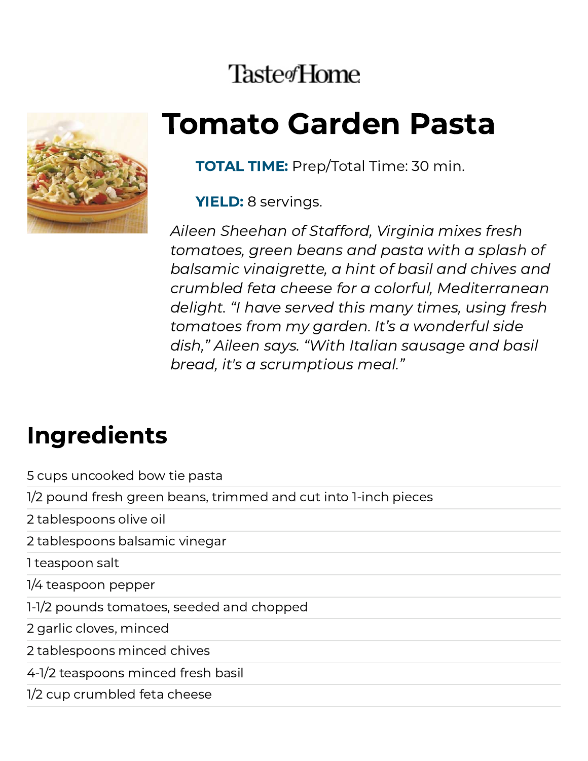### **Taste**<sup>Home</sup>



# Tomato Garden Pasta

**TOTAL TIME:** Prep/Total Time: 30 min.

YIELD: 8 servings.

Aileen Sheehan of Stafford, Virginia mixes fresh tomatoes, green beans and pasta with a splash of balsamic vinaigrette, a hint of basil and chives and crumbled feta cheese for a colorful, Mediterranean delight. "I have served this many times, using fresh tomatoes from my garden. It's a wonderful side dish," Aileen says. "With Italian sausage and basil bread, it's a scrumptious meal."

#### Ingredients

5 cups uncooked bow tie pasta

1/2 pound fresh green beans, trimmed and cut into 1-inch pieces

2 tablespoons olive oil

2 tablespoons balsamic vinegar

1 teaspoon salt

1/4 teaspoon pepper

1-1/2 pounds tomatoes, seeded and chopped

2 garlic cloves, minced

2 tablespoons minced chives

4-1/2 teaspoons minced fresh basil

1/2 cup crumbled feta cheese